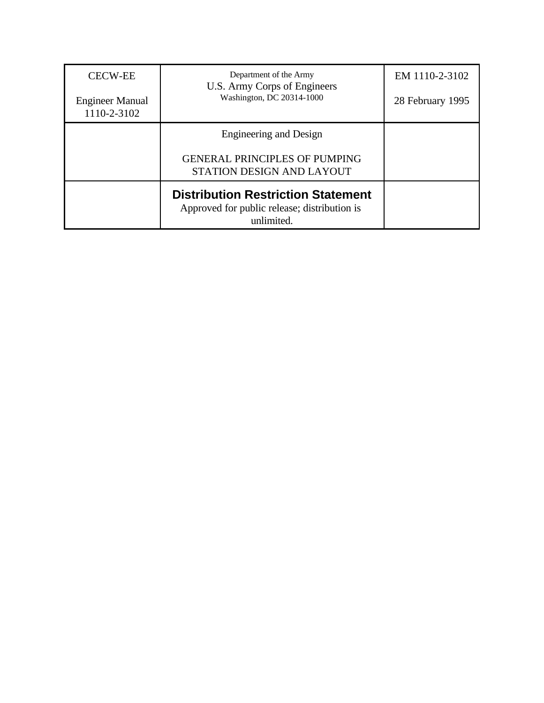| <b>CECW-EE</b><br><b>Engineer Manual</b><br>1110-2-3102 | Department of the Army<br>U.S. Army Corps of Engineers<br>Washington, DC 20314-1000                     | EM 1110-2-3102<br>28 February 1995 |
|---------------------------------------------------------|---------------------------------------------------------------------------------------------------------|------------------------------------|
|                                                         | Engineering and Design<br><b>GENERAL PRINCIPLES OF PUMPING</b><br>STATION DESIGN AND LAYOUT             |                                    |
|                                                         | <b>Distribution Restriction Statement</b><br>Approved for public release; distribution is<br>unlimited. |                                    |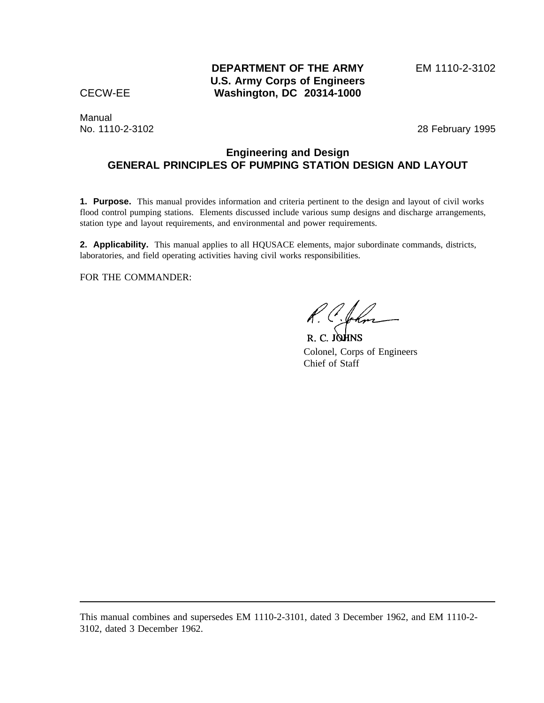Manual

No. 1110-2-3102 28 February 1995

# **Engineering and Design GENERAL PRINCIPLES OF PUMPING STATION DESIGN AND LAYOUT**

**1. Purpose.** This manual provides information and criteria pertinent to the design and layout of civil works flood control pumping stations. Elements discussed include various sump designs and discharge arrangements, station type and layout requirements, and environmental and power requirements.

**2. Applicability.** This manual applies to all HQUSACE elements, major subordinate commands, districts, laboratories, and field operating activities having civil works responsibilities.

FOR THE COMMANDER:

R. C. Char

R. C. JOHNS Colonel, Corps of Engineers Chief of Staff

This manual combines and supersedes EM 1110-2-3101, dated 3 December 1962, and EM 1110-2- 3102, dated 3 December 1962.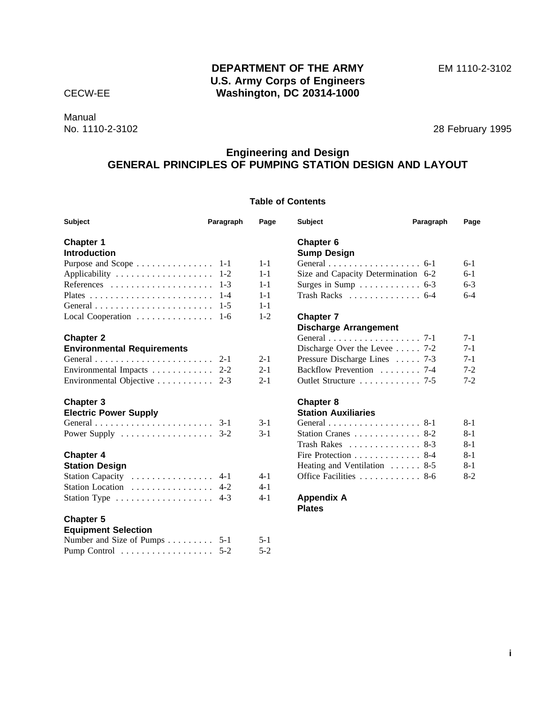# **DEPARTMENT OF THE ARMY** EM 1110-2-3102 **U.S. Army Corps of Engineers** CECW-EE **Washington, DC 20314-1000**

Manual<br>No. 1110-2-3102

28 February 1995

# **Engineering and Design GENERAL PRINCIPLES OF PUMPING STATION DESIGN AND LAYOUT**

# **Table of Contents**

| <b>Subject</b>                                               | Paragraph | Page                         | <b>Subject</b>                                   | Paragraph | Page    |
|--------------------------------------------------------------|-----------|------------------------------|--------------------------------------------------|-----------|---------|
| <b>Chapter 1</b>                                             |           |                              | Chapter 6                                        |           |         |
| <b>Introduction</b>                                          |           |                              | <b>Sump Design</b>                               |           |         |
|                                                              |           | $1 - 1$                      | General 6-1                                      |           | $6-1$   |
|                                                              | $1 - 2$   | $1 - 1$                      | Size and Capacity Determination 6-2              |           | $6-1$   |
|                                                              | $1 - 3$   | $1 - 1$                      | Surges in Sump $\ldots \ldots \ldots \ldots$ 6-3 |           | $6-3$   |
|                                                              | $1 - 4$   | $1 - 1$                      | Trash Racks 6-4                                  |           | $6-4$   |
|                                                              |           | $1 - 1$                      |                                                  |           |         |
| Local Cooperation $\dots \dots \dots \dots \dots \dots$ 1-6  |           | $1 - 2$                      | <b>Chapter 7</b>                                 |           |         |
|                                                              |           | <b>Discharge Arrangement</b> |                                                  |           |         |
| <b>Chapter 2</b>                                             |           |                              | General 7-1                                      |           | $7 - 1$ |
| <b>Environmental Requirements</b>                            |           |                              | Discharge Over the Level $\ldots$ 7-2            |           | $7 - 1$ |
|                                                              | $2 - 1$   | $2 - 1$                      | Pressure Discharge Lines  7-3                    |           | $7-1$   |
| Environmental Impacts                                        | $2 - 2$   | $2 - 1$                      | Backflow Prevention 7-4                          |           | $7 - 2$ |
| Environmental Objective $\dots \dots \dots \dots$ 2-3        |           | $2 - 1$                      | Outlet Structure  7-5                            |           | $7-2$   |
| Chapter 3                                                    |           |                              | Chapter 8                                        |           |         |
| <b>Electric Power Supply</b>                                 |           |                              | <b>Station Auxiliaries</b>                       |           |         |
|                                                              | $3-1$     | $3-1$                        | General 8-1                                      |           | $8 - 1$ |
| Power Supply $\dots \dots \dots \dots \dots \dots \dots$ 3-2 |           | $3-1$                        | Station Cranes 8-2                               |           | $8 - 1$ |
|                                                              |           |                              | Trash Rakes $\ldots \ldots \ldots \ldots 8-3$    |           | $8 - 1$ |
| <b>Chapter 4</b>                                             |           |                              | Fire Protection 8-4                              |           | $8 - 1$ |
| <b>Station Design</b>                                        |           |                              | Heating and Ventilation  8-5                     |           | $8-1$   |
| Station Capacity $\dots \dots \dots \dots \dots$             | $4 - 1$   | 4-1                          | Office Facilities 8-6                            |           | $8 - 2$ |
| Station Location $\ldots \ldots \ldots \ldots$               | $4-2$     | $4 - 1$                      |                                                  |           |         |
| Station Type $\dots \dots \dots \dots \dots \dots$           | $4-3$     | $4 - 1$                      | <b>Appendix A</b><br><b>Plates</b>               |           |         |
| <b>Chapter 5</b>                                             |           |                              |                                                  |           |         |
| <b>Equipment Selection</b>                                   |           |                              |                                                  |           |         |
| Number and Size of Pumps 5-1                                 |           | $5 - 1$                      |                                                  |           |         |

Pump Control . . . . . . . . . . . . . . . . . 5-2 5-2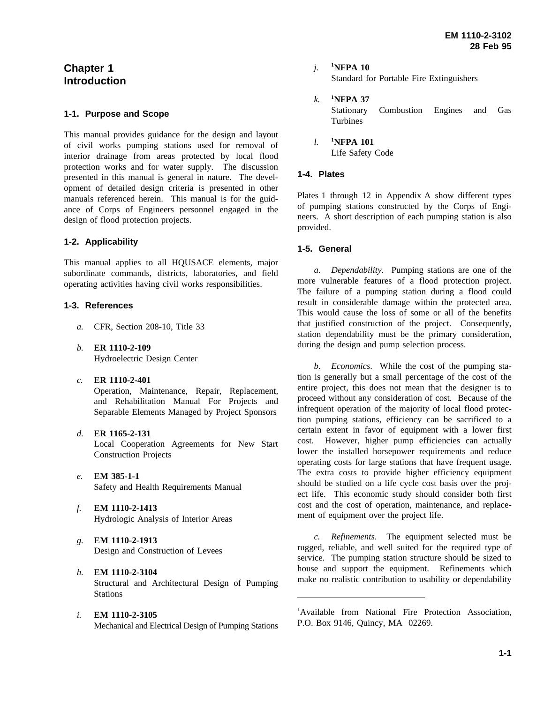# **Chapter 1 Introduction**

### **1-1. Purpose and Scope**

This manual provides guidance for the design and layout of civil works pumping stations used for removal of interior drainage from areas protected by local flood protection works and for water supply. The discussion presented in this manual is general in nature. The development of detailed design criteria is presented in other manuals referenced herein. This manual is for the guidance of Corps of Engineers personnel engaged in the design of flood protection projects.

# **1-2. Applicability**

This manual applies to all HQUSACE elements, major subordinate commands, districts, laboratories, and field operating activities having civil works responsibilities.

## **1-3. References**

- *a.* CFR, Section 208-10, Title 33
- *b.* **ER 1110-2-109** Hydroelectric Design Center
- *c.* **ER 1110-2-401**

Operation, Maintenance, Repair, Replacement, and Rehabilitation Manual For Projects and Separable Elements Managed by Project Sponsors

*d.* **ER 1165-2-131**

Local Cooperation Agreements for New Start Construction Projects

- *e.* **EM 385-1-1** Safety and Health Requirements Manual
- *f.* **EM 1110-2-1413** Hydrologic Analysis of Interior Areas
- *g.* **EM 1110-2-1913** Design and Construction of Levees

# *h.* **EM 1110-2-3104**

Structural and Architectural Design of Pumping **Stations** 

*i.* **EM 1110-2-3105**

Mechanical and Electrical Design of Pumping Stations

*j.* **<sup>1</sup> NFPA 10**

Standard for Portable Fire Extinguishers

- $k$ . **NFPA 37** Stationary Combustion Engines and Gas Turbines
- *l.* **<sup>1</sup> NFPA 101** Life Safety Code

# **1-4. Plates**

Plates 1 through 12 in Appendix A show different types of pumping stations constructed by the Corps of Engineers. A short description of each pumping station is also provided.

## **1-5. General**

*a. Dependability*. Pumping stations are one of the more vulnerable features of a flood protection project. The failure of a pumping station during a flood could result in considerable damage within the protected area. This would cause the loss of some or all of the benefits that justified construction of the project. Consequently, station dependability must be the primary consideration, during the design and pump selection process.

*b. Economics*. While the cost of the pumping station is generally but a small percentage of the cost of the entire project, this does not mean that the designer is to proceed without any consideration of cost. Because of the infrequent operation of the majority of local flood protection pumping stations, efficiency can be sacrificed to a certain extent in favor of equipment with a lower first cost. However, higher pump efficiencies can actually lower the installed horsepower requirements and reduce operating costs for large stations that have frequent usage. The extra costs to provide higher efficiency equipment should be studied on a life cycle cost basis over the project life. This economic study should consider both first cost and the cost of operation, maintenance, and replacement of equipment over the project life.

*c. Refinements*. The equipment selected must be rugged, reliable, and well suited for the required type of service. The pumping station structure should be sized to house and support the equipment. Refinements which make no realistic contribution to usability or dependability

<sup>1</sup>Available from National Fire Protection Association, P.O. Box 9146, Quincy, MA 02269.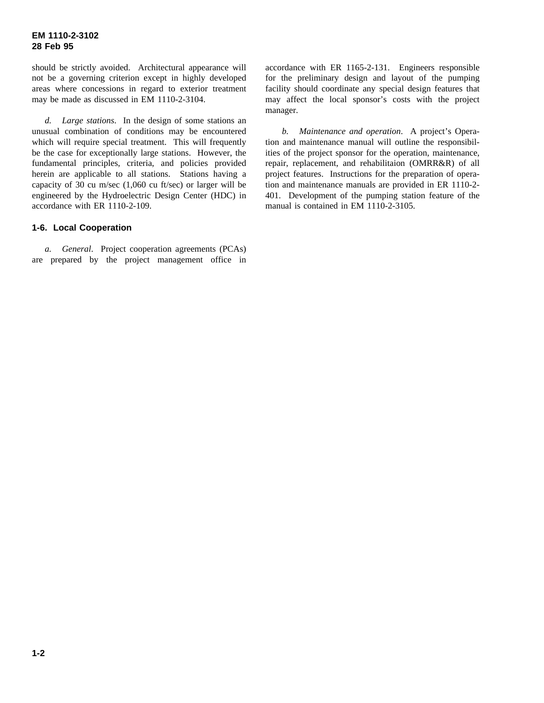should be strictly avoided. Architectural appearance will not be a governing criterion except in highly developed areas where concessions in regard to exterior treatment may be made as discussed in EM 1110-2-3104.

*d. Large stations*. In the design of some stations an unusual combination of conditions may be encountered which will require special treatment. This will frequently be the case for exceptionally large stations. However, the fundamental principles, criteria, and policies provided herein are applicable to all stations. Stations having a capacity of 30 cu m/sec (1,060 cu ft/sec) or larger will be engineered by the Hydroelectric Design Center (HDC) in accordance with ER 1110-2-109.

## **1-6. Local Cooperation**

*a. General*. Project cooperation agreements (PCAs) are prepared by the project management office in

accordance with ER 1165-2-131. Engineers responsible for the preliminary design and layout of the pumping facility should coordinate any special design features that may affect the local sponsor's costs with the project manager.

*b. Maintenance and operation*. A project's Operation and maintenance manual will outline the responsibilities of the project sponsor for the operation, maintenance, repair, replacement, and rehabilitaion (OMRR&R) of all project features. Instructions for the preparation of operation and maintenance manuals are provided in ER 1110-2- 401. Development of the pumping station feature of the manual is contained in EM 1110-2-3105.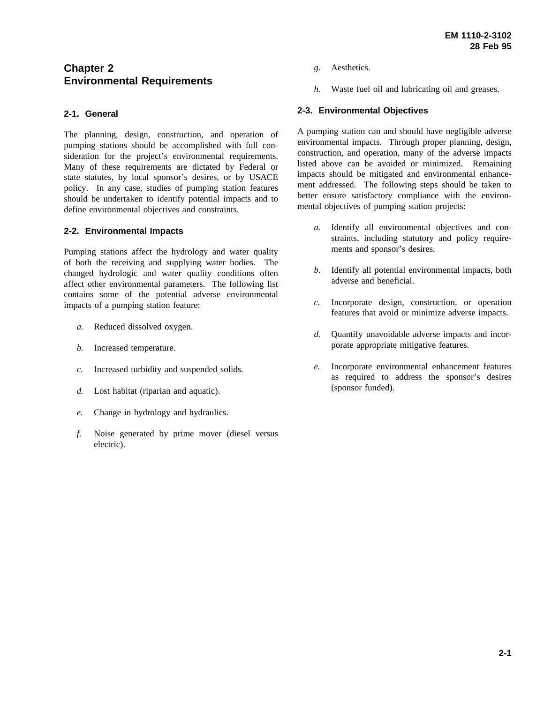# **Chapter 2 Environmental Requirements**

# **2-1. General**

The planning, design, construction, and operation of pumping stations should be accomplished with full consideration for the project's environmental requirements. Many of these requirements are dictated by Federal or state statutes, by local sponsor's desires, or by USACE policy. In any case, studies of pumping station features should be undertaken to identify potential impacts and to define environmental objectives and constraints.

## **2-2. Environmental Impacts**

Pumping stations affect the hydrology and water quality of both the receiving and supplying water bodies. The changed hydrologic and water quality conditions often affect other environmental parameters. The following list contains some of the potential adverse environmental impacts of a pumping station feature:

- *a.* Reduced dissolved oxygen.
- *b.* Increased temperature.
- *c.* Increased turbidity and suspended solids.
- *d.* Lost habitat (riparian and aquatic).
- *e.* Change in hydrology and hydraulics.
- *f.* Noise generated by prime mover (diesel versus electric).
- *g.* Aesthetics.
- *h.* Waste fuel oil and lubricating oil and greases.

### **2-3. Environmental Objectives**

A pumping station can and should have negligible adverse environmental impacts. Through proper planning, design, construction, and operation, many of the adverse impacts listed above can be avoided or minimized. Remaining impacts should be mitigated and environmental enhancement addressed. The following steps should be taken to better ensure satisfactory compliance with the environmental objectives of pumping station projects:

- *a.* Identify all environmental objectives and constraints, including statutory and policy requirements and sponsor's desires.
- *b.* Identify all potential environmental impacts, both adverse and beneficial.
- *c.* Incorporate design, construction, or operation features that avoid or minimize adverse impacts.
- *d.* Quantify unavoidable adverse impacts and incorporate appropriate mitigative features.
- *e.* Incorporate environmental enhancement features as required to address the sponsor's desires (sponsor funded).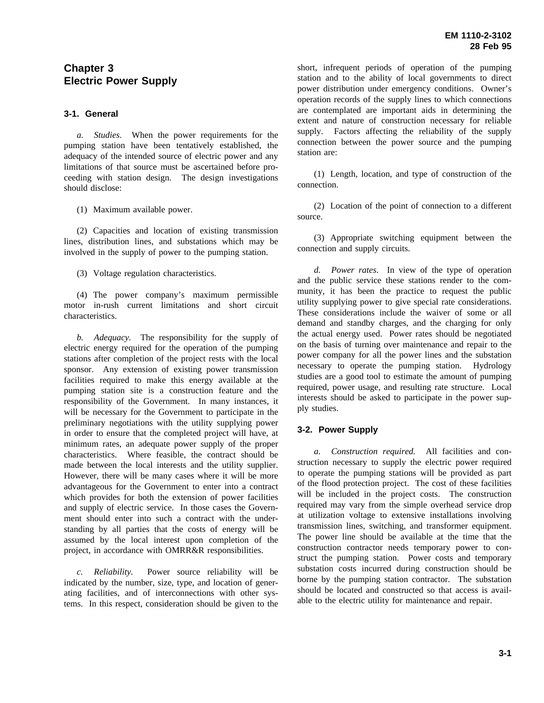# **Chapter 3 Electric Power Supply**

#### **3-1. General**

*a. Studies*. When the power requirements for the pumping station have been tentatively established, the adequacy of the intended source of electric power and any limitations of that source must be ascertained before proceeding with station design. The design investigations should disclose:

(1) Maximum available power.

(2) Capacities and location of existing transmission lines, distribution lines, and substations which may be involved in the supply of power to the pumping station.

(3) Voltage regulation characteristics.

(4) The power company's maximum permissible motor in-rush current limitations and short circuit characteristics.

*b. Adequacy.* The responsibility for the supply of electric energy required for the operation of the pumping stations after completion of the project rests with the local sponsor. Any extension of existing power transmission facilities required to make this energy available at the pumping station site is a construction feature and the responsibility of the Government. In many instances, it will be necessary for the Government to participate in the preliminary negotiations with the utility supplying power in order to ensure that the completed project will have, at minimum rates, an adequate power supply of the proper characteristics. Where feasible, the contract should be made between the local interests and the utility supplier. However, there will be many cases where it will be more advantageous for the Government to enter into a contract which provides for both the extension of power facilities and supply of electric service. In those cases the Government should enter into such a contract with the understanding by all parties that the costs of energy will be assumed by the local interest upon completion of the project, in accordance with OMRR&R responsibilities.

*c. Reliability.* Power source reliability will be indicated by the number, size, type, and location of generating facilities, and of interconnections with other systems. In this respect, consideration should be given to the short, infrequent periods of operation of the pumping station and to the ability of local governments to direct power distribution under emergency conditions. Owner's operation records of the supply lines to which connections are contemplated are important aids in determining the extent and nature of construction necessary for reliable supply. Factors affecting the reliability of the supply connection between the power source and the pumping station are:

(1) Length, location, and type of construction of the connection.

(2) Location of the point of connection to a different source.

(3) Appropriate switching equipment between the connection and supply circuits.

*d. Power rates*. In view of the type of operation and the public service these stations render to the community, it has been the practice to request the public utility supplying power to give special rate considerations. These considerations include the waiver of some or all demand and standby charges, and the charging for only the actual energy used. Power rates should be negotiated on the basis of turning over maintenance and repair to the power company for all the power lines and the substation necessary to operate the pumping station. Hydrology studies are a good tool to estimate the amount of pumping required, power usage, and resulting rate structure. Local interests should be asked to participate in the power supply studies.

# **3-2. Power Supply**

*a. Construction required.* All facilities and construction necessary to supply the electric power required to operate the pumping stations will be provided as part of the flood protection project. The cost of these facilities will be included in the project costs. The construction required may vary from the simple overhead service drop at utilization voltage to extensive installations involving transmission lines, switching, and transformer equipment. The power line should be available at the time that the construction contractor needs temporary power to construct the pumping station. Power costs and temporary substation costs incurred during construction should be borne by the pumping station contractor. The substation should be located and constructed so that access is available to the electric utility for maintenance and repair.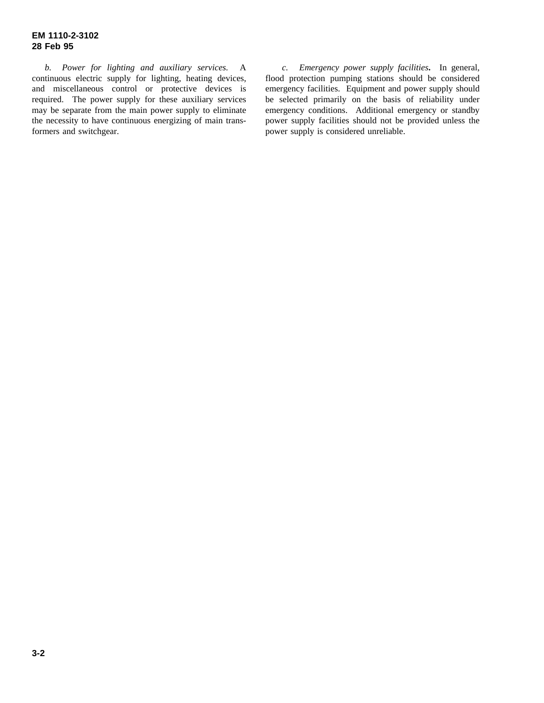*b. Power for lighting and auxiliary services.* A continuous electric supply for lighting, heating devices, and miscellaneous control or protective devices is required. The power supply for these auxiliary services may be separate from the main power supply to eliminate the necessity to have continuous energizing of main transformers and switchgear.

*c. Emergency power supply facilities***.** In general, flood protection pumping stations should be considered emergency facilities. Equipment and power supply should be selected primarily on the basis of reliability under emergency conditions. Additional emergency or standby power supply facilities should not be provided unless the power supply is considered unreliable.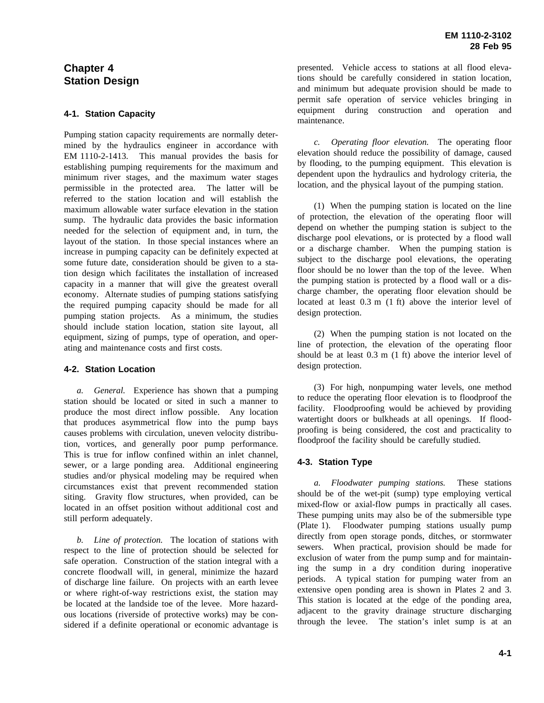# **Chapter 4 Station Design**

## **4-1. Station Capacity**

Pumping station capacity requirements are normally determined by the hydraulics engineer in accordance with EM 1110-2-1413. This manual provides the basis for establishing pumping requirements for the maximum and minimum river stages, and the maximum water stages permissible in the protected area. The latter will be referred to the station location and will establish the maximum allowable water surface elevation in the station sump. The hydraulic data provides the basic information needed for the selection of equipment and, in turn, the layout of the station. In those special instances where an increase in pumping capacity can be definitely expected at some future date, consideration should be given to a station design which facilitates the installation of increased capacity in a manner that will give the greatest overall economy. Alternate studies of pumping stations satisfying the required pumping capacity should be made for all pumping station projects. As a minimum, the studies should include station location, station site layout, all equipment, sizing of pumps, type of operation, and operating and maintenance costs and first costs.

### **4-2. Station Location**

*a. General.* Experience has shown that a pumping station should be located or sited in such a manner to produce the most direct inflow possible. Any location that produces asymmetrical flow into the pump bays causes problems with circulation, uneven velocity distribution, vortices, and generally poor pump performance. This is true for inflow confined within an inlet channel, sewer, or a large ponding area. Additional engineering studies and/or physical modeling may be required when circumstances exist that prevent recommended station siting. Gravity flow structures, when provided, can be located in an offset position without additional cost and still perform adequately.

*b. Line of protection.* The location of stations with respect to the line of protection should be selected for safe operation. Construction of the station integral with a concrete floodwall will, in general, minimize the hazard of discharge line failure. On projects with an earth levee or where right-of-way restrictions exist, the station may be located at the landside toe of the levee. More hazardous locations (riverside of protective works) may be considered if a definite operational or economic advantage is presented. Vehicle access to stations at all flood elevations should be carefully considered in station location, and minimum but adequate provision should be made to permit safe operation of service vehicles bringing in equipment during construction and operation and maintenance.

*c. Operating floor elevation.* The operating floor elevation should reduce the possibility of damage, caused by flooding, to the pumping equipment. This elevation is dependent upon the hydraulics and hydrology criteria, the location, and the physical layout of the pumping station.

(1) When the pumping station is located on the line of protection, the elevation of the operating floor will depend on whether the pumping station is subject to the discharge pool elevations, or is protected by a flood wall or a discharge chamber. When the pumping station is subject to the discharge pool elevations, the operating floor should be no lower than the top of the levee. When the pumping station is protected by a flood wall or a discharge chamber, the operating floor elevation should be located at least 0.3 m (1 ft) above the interior level of design protection.

(2) When the pumping station is not located on the line of protection, the elevation of the operating floor should be at least 0.3 m (1 ft) above the interior level of design protection.

(3) For high, nonpumping water levels, one method to reduce the operating floor elevation is to floodproof the facility. Floodproofing would be achieved by providing watertight doors or bulkheads at all openings. If floodproofing is being considered, the cost and practicality to floodproof the facility should be carefully studied.

# **4-3. Station Type**

*a. Floodwater pumping stations.* These stations should be of the wet-pit (sump) type employing vertical mixed-flow or axial-flow pumps in practically all cases. These pumping units may also be of the submersible type (Plate 1). Floodwater pumping stations usually pump directly from open storage ponds, ditches, or stormwater sewers. When practical, provision should be made for exclusion of water from the pump sump and for maintaining the sump in a dry condition during inoperative periods. A typical station for pumping water from an extensive open ponding area is shown in Plates 2 and 3. This station is located at the edge of the ponding area, adjacent to the gravity drainage structure discharging through the levee. The station's inlet sump is at an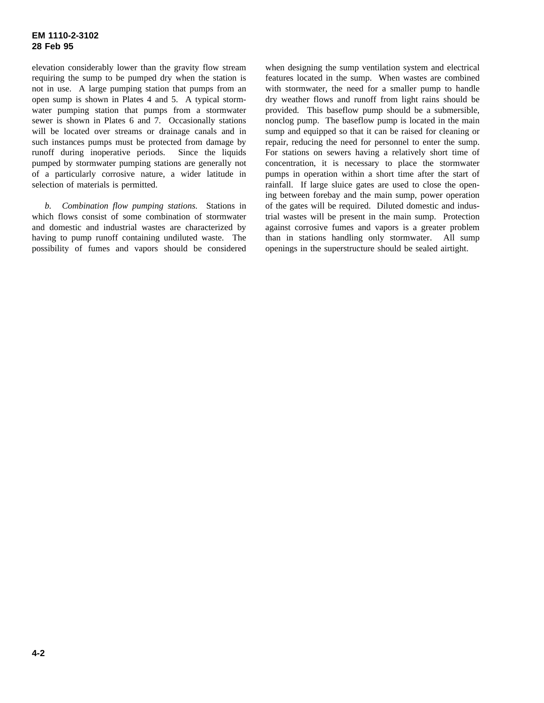elevation considerably lower than the gravity flow stream requiring the sump to be pumped dry when the station is not in use. A large pumping station that pumps from an open sump is shown in Plates 4 and 5. A typical stormwater pumping station that pumps from a stormwater sewer is shown in Plates 6 and 7. Occasionally stations will be located over streams or drainage canals and in such instances pumps must be protected from damage by runoff during inoperative periods. Since the liquids pumped by stormwater pumping stations are generally not of a particularly corrosive nature, a wider latitude in selection of materials is permitted.

*b. Combination flow pumping stations.* Stations in which flows consist of some combination of stormwater and domestic and industrial wastes are characterized by having to pump runoff containing undiluted waste. The possibility of fumes and vapors should be considered

when designing the sump ventilation system and electrical features located in the sump. When wastes are combined with stormwater, the need for a smaller pump to handle dry weather flows and runoff from light rains should be provided. This baseflow pump should be a submersible, nonclog pump. The baseflow pump is located in the main sump and equipped so that it can be raised for cleaning or repair, reducing the need for personnel to enter the sump. For stations on sewers having a relatively short time of concentration, it is necessary to place the stormwater pumps in operation within a short time after the start of rainfall. If large sluice gates are used to close the opening between forebay and the main sump, power operation of the gates will be required. Diluted domestic and industrial wastes will be present in the main sump. Protection against corrosive fumes and vapors is a greater problem than in stations handling only stormwater. All sump openings in the superstructure should be sealed airtight.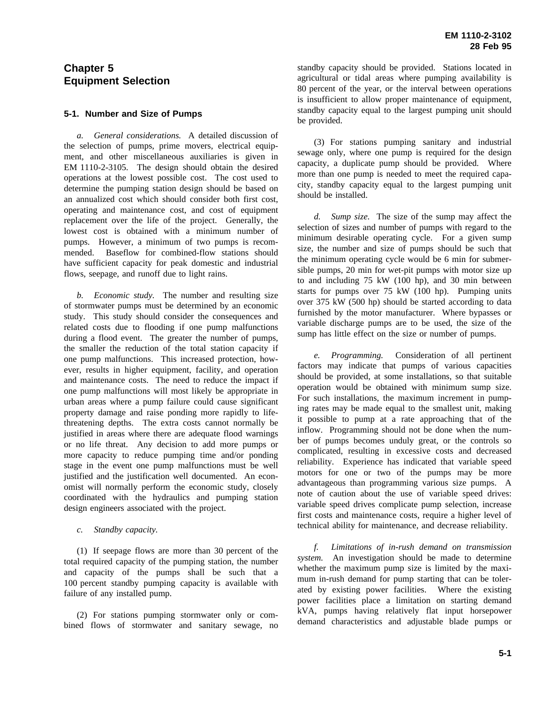# **Chapter 5 Equipment Selection**

#### **5-1. Number and Size of Pumps**

*a. General considerations.* A detailed discussion of the selection of pumps, prime movers, electrical equipment, and other miscellaneous auxiliaries is given in EM 1110-2-3105. The design should obtain the desired operations at the lowest possible cost. The cost used to determine the pumping station design should be based on an annualized cost which should consider both first cost, operating and maintenance cost, and cost of equipment replacement over the life of the project. Generally, the lowest cost is obtained with a minimum number of pumps. However, a minimum of two pumps is recommended. Baseflow for combined-flow stations should have sufficient capacity for peak domestic and industrial flows, seepage, and runoff due to light rains.

*b. Economic study.* The number and resulting size of stormwater pumps must be determined by an economic study. This study should consider the consequences and related costs due to flooding if one pump malfunctions during a flood event. The greater the number of pumps, the smaller the reduction of the total station capacity if one pump malfunctions. This increased protection, however, results in higher equipment, facility, and operation and maintenance costs. The need to reduce the impact if one pump malfunctions will most likely be appropriate in urban areas where a pump failure could cause significant property damage and raise ponding more rapidly to lifethreatening depths. The extra costs cannot normally be justified in areas where there are adequate flood warnings or no life threat. Any decision to add more pumps or more capacity to reduce pumping time and/or ponding stage in the event one pump malfunctions must be well justified and the justification well documented. An economist will normally perform the economic study, closely coordinated with the hydraulics and pumping station design engineers associated with the project.

#### *c. Standby capacity.*

(1) If seepage flows are more than 30 percent of the total required capacity of the pumping station, the number and capacity of the pumps shall be such that a 100 percent standby pumping capacity is available with failure of any installed pump.

(2) For stations pumping stormwater only or combined flows of stormwater and sanitary sewage, no standby capacity should be provided. Stations located in agricultural or tidal areas where pumping availability is 80 percent of the year, or the interval between operations is insufficient to allow proper maintenance of equipment, standby capacity equal to the largest pumping unit should be provided.

(3) For stations pumping sanitary and industrial sewage only, where one pump is required for the design capacity, a duplicate pump should be provided. Where more than one pump is needed to meet the required capacity, standby capacity equal to the largest pumping unit should be installed.

*d. Sump size.* The size of the sump may affect the selection of sizes and number of pumps with regard to the minimum desirable operating cycle. For a given sump size, the number and size of pumps should be such that the minimum operating cycle would be 6 min for submersible pumps, 20 min for wet-pit pumps with motor size up to and including 75 kW (100 hp), and 30 min between starts for pumps over 75 kW (100 hp). Pumping units over 375 kW (500 hp) should be started according to data furnished by the motor manufacturer. Where bypasses or variable discharge pumps are to be used, the size of the sump has little effect on the size or number of pumps.

*e. Programming.* Consideration of all pertinent factors may indicate that pumps of various capacities should be provided, at some installations, so that suitable operation would be obtained with minimum sump size. For such installations, the maximum increment in pumping rates may be made equal to the smallest unit, making it possible to pump at a rate approaching that of the inflow. Programming should not be done when the number of pumps becomes unduly great, or the controls so complicated, resulting in excessive costs and decreased reliability. Experience has indicated that variable speed motors for one or two of the pumps may be more advantageous than programming various size pumps. A note of caution about the use of variable speed drives: variable speed drives complicate pump selection, increase first costs and maintenance costs, require a higher level of technical ability for maintenance, and decrease reliability.

*f. Limitations of in-rush demand on transmission system.* An investigation should be made to determine whether the maximum pump size is limited by the maximum in-rush demand for pump starting that can be tolerated by existing power facilities. Where the existing power facilities place a limitation on starting demand kVA, pumps having relatively flat input horsepower demand characteristics and adjustable blade pumps or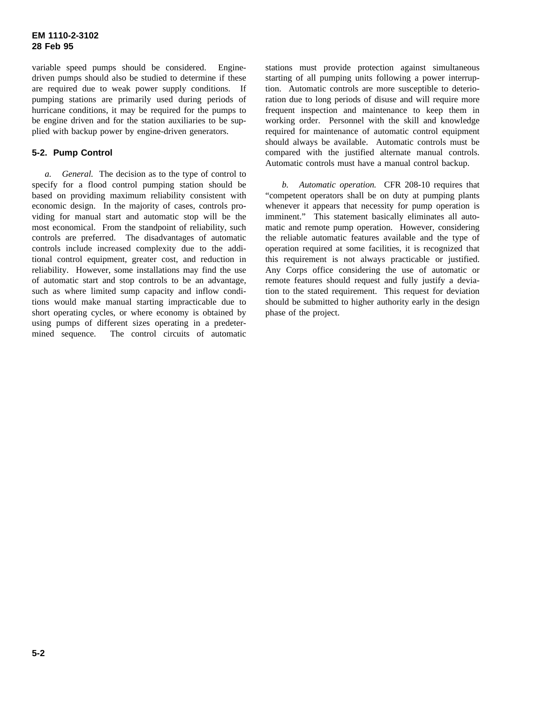variable speed pumps should be considered. Enginedriven pumps should also be studied to determine if these are required due to weak power supply conditions. If pumping stations are primarily used during periods of hurricane conditions, it may be required for the pumps to be engine driven and for the station auxiliaries to be supplied with backup power by engine-driven generators.

## **5-2. Pump Control**

*a. General.* The decision as to the type of control to specify for a flood control pumping station should be based on providing maximum reliability consistent with economic design. In the majority of cases, controls providing for manual start and automatic stop will be the most economical. From the standpoint of reliability, such controls are preferred. The disadvantages of automatic controls include increased complexity due to the additional control equipment, greater cost, and reduction in reliability. However, some installations may find the use of automatic start and stop controls to be an advantage, such as where limited sump capacity and inflow conditions would make manual starting impracticable due to short operating cycles, or where economy is obtained by using pumps of different sizes operating in a predetermined sequence. The control circuits of automatic

stations must provide protection against simultaneous starting of all pumping units following a power interruption. Automatic controls are more susceptible to deterioration due to long periods of disuse and will require more frequent inspection and maintenance to keep them in working order. Personnel with the skill and knowledge required for maintenance of automatic control equipment should always be available. Automatic controls must be compared with the justified alternate manual controls. Automatic controls must have a manual control backup.

*b. Automatic operation.* CFR 208-10 requires that "competent operators shall be on duty at pumping plants whenever it appears that necessity for pump operation is imminent." This statement basically eliminates all automatic and remote pump operation. However, considering the reliable automatic features available and the type of operation required at some facilities, it is recognized that this requirement is not always practicable or justified. Any Corps office considering the use of automatic or remote features should request and fully justify a deviation to the stated requirement. This request for deviation should be submitted to higher authority early in the design phase of the project.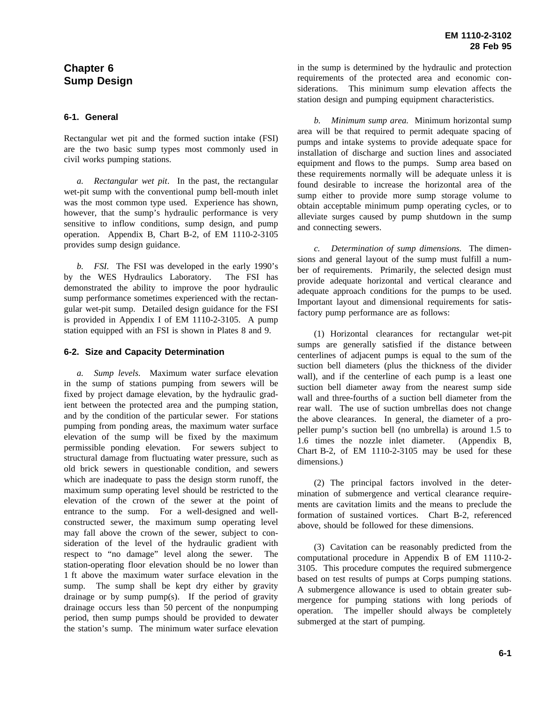# **Chapter 6 Sump Design**

#### **6-1. General**

Rectangular wet pit and the formed suction intake (FSI) are the two basic sump types most commonly used in civil works pumping stations.

*a. Rectangular wet pit*. In the past, the rectangular wet-pit sump with the conventional pump bell-mouth inlet was the most common type used. Experience has shown, however, that the sump's hydraulic performance is very sensitive to inflow conditions, sump design, and pump operation. Appendix B, Chart B-2, of EM 1110-2-3105 provides sump design guidance.

*b. FSI.* The FSI was developed in the early 1990's by the WES Hydraulics Laboratory. The FSI has demonstrated the ability to improve the poor hydraulic sump performance sometimes experienced with the rectangular wet-pit sump. Detailed design guidance for the FSI is provided in Appendix I of EM 1110-2-3105. A pump station equipped with an FSI is shown in Plates 8 and 9.

#### **6-2. Size and Capacity Determination**

*a. Sump levels.* Maximum water surface elevation in the sump of stations pumping from sewers will be fixed by project damage elevation, by the hydraulic gradient between the protected area and the pumping station, and by the condition of the particular sewer. For stations pumping from ponding areas, the maximum water surface elevation of the sump will be fixed by the maximum permissible ponding elevation. For sewers subject to structural damage from fluctuating water pressure, such as old brick sewers in questionable condition, and sewers which are inadequate to pass the design storm runoff, the maximum sump operating level should be restricted to the elevation of the crown of the sewer at the point of entrance to the sump. For a well-designed and wellconstructed sewer, the maximum sump operating level may fall above the crown of the sewer, subject to consideration of the level of the hydraulic gradient with respect to "no damage" level along the sewer. The station-operating floor elevation should be no lower than 1 ft above the maximum water surface elevation in the sump. The sump shall be kept dry either by gravity drainage or by sump pump(s). If the period of gravity drainage occurs less than 50 percent of the nonpumping period, then sump pumps should be provided to dewater the station's sump. The minimum water surface elevation in the sump is determined by the hydraulic and protection requirements of the protected area and economic considerations. This minimum sump elevation affects the station design and pumping equipment characteristics.

*b. Minimum sump area.* Minimum horizontal sump area will be that required to permit adequate spacing of pumps and intake systems to provide adequate space for installation of discharge and suction lines and associated equipment and flows to the pumps. Sump area based on these requirements normally will be adequate unless it is found desirable to increase the horizontal area of the sump either to provide more sump storage volume to obtain acceptable minimum pump operating cycles, or to alleviate surges caused by pump shutdown in the sump and connecting sewers.

*c. Determination of sump dimensions.* The dimensions and general layout of the sump must fulfill a number of requirements. Primarily, the selected design must provide adequate horizontal and vertical clearance and adequate approach conditions for the pumps to be used. Important layout and dimensional requirements for satisfactory pump performance are as follows:

(1) Horizontal clearances for rectangular wet-pit sumps are generally satisfied if the distance between centerlines of adjacent pumps is equal to the sum of the suction bell diameters (plus the thickness of the divider wall), and if the centerline of each pump is a least one suction bell diameter away from the nearest sump side wall and three-fourths of a suction bell diameter from the rear wall. The use of suction umbrellas does not change the above clearances. In general, the diameter of a propeller pump's suction bell (no umbrella) is around 1.5 to 1.6 times the nozzle inlet diameter. (Appendix B, Chart B-2, of EM 1110-2-3105 may be used for these dimensions.)

(2) The principal factors involved in the determination of submergence and vertical clearance requirements are cavitation limits and the means to preclude the formation of sustained vortices. Chart B-2, referenced above, should be followed for these dimensions.

(3) Cavitation can be reasonably predicted from the computational procedure in Appendix B of EM 1110-2- 3105. This procedure computes the required submergence based on test results of pumps at Corps pumping stations. A submergence allowance is used to obtain greater submergence for pumping stations with long periods of operation. The impeller should always be completely submerged at the start of pumping.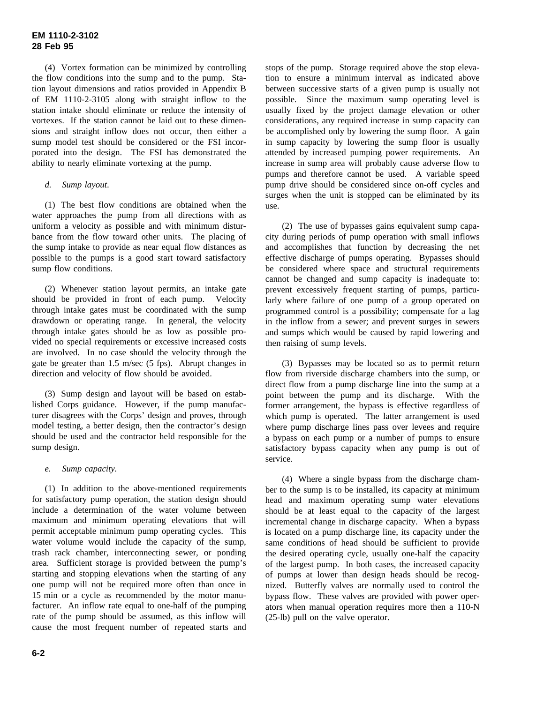(4) Vortex formation can be minimized by controlling the flow conditions into the sump and to the pump. Station layout dimensions and ratios provided in Appendix B of EM 1110-2-3105 along with straight inflow to the station intake should eliminate or reduce the intensity of vortexes. If the station cannot be laid out to these dimensions and straight inflow does not occur, then either a sump model test should be considered or the FSI incorporated into the design. The FSI has demonstrated the ability to nearly eliminate vortexing at the pump.

#### *d. Sump layout*.

(1) The best flow conditions are obtained when the water approaches the pump from all directions with as uniform a velocity as possible and with minimum disturbance from the flow toward other units. The placing of the sump intake to provide as near equal flow distances as possible to the pumps is a good start toward satisfactory sump flow conditions.

(2) Whenever station layout permits, an intake gate should be provided in front of each pump. Velocity through intake gates must be coordinated with the sump drawdown or operating range. In general, the velocity through intake gates should be as low as possible provided no special requirements or excessive increased costs are involved. In no case should the velocity through the gate be greater than 1.5 m/sec (5 fps). Abrupt changes in direction and velocity of flow should be avoided.

(3) Sump design and layout will be based on established Corps guidance. However, if the pump manufacturer disagrees with the Corps' design and proves, through model testing, a better design, then the contractor's design should be used and the contractor held responsible for the sump design.

*e. Sump capacity.*

(1) In addition to the above-mentioned requirements for satisfactory pump operation, the station design should include a determination of the water volume between maximum and minimum operating elevations that will permit acceptable minimum pump operating cycles. This water volume would include the capacity of the sump, trash rack chamber, interconnecting sewer, or ponding area. Sufficient storage is provided between the pump's starting and stopping elevations when the starting of any one pump will not be required more often than once in 15 min or a cycle as recommended by the motor manufacturer. An inflow rate equal to one-half of the pumping rate of the pump should be assumed, as this inflow will cause the most frequent number of repeated starts and

stops of the pump. Storage required above the stop elevation to ensure a minimum interval as indicated above between successive starts of a given pump is usually not possible. Since the maximum sump operating level is usually fixed by the project damage elevation or other considerations, any required increase in sump capacity can be accomplished only by lowering the sump floor. A gain in sump capacity by lowering the sump floor is usually attended by increased pumping power requirements. An increase in sump area will probably cause adverse flow to pumps and therefore cannot be used. A variable speed pump drive should be considered since on-off cycles and surges when the unit is stopped can be eliminated by its use.

(2) The use of bypasses gains equivalent sump capacity during periods of pump operation with small inflows and accomplishes that function by decreasing the net effective discharge of pumps operating. Bypasses should be considered where space and structural requirements cannot be changed and sump capacity is inadequate to: prevent excessively frequent starting of pumps, particularly where failure of one pump of a group operated on programmed control is a possibility; compensate for a lag in the inflow from a sewer; and prevent surges in sewers and sumps which would be caused by rapid lowering and then raising of sump levels.

(3) Bypasses may be located so as to permit return flow from riverside discharge chambers into the sump, or direct flow from a pump discharge line into the sump at a point between the pump and its discharge. With the former arrangement, the bypass is effective regardless of which pump is operated. The latter arrangement is used where pump discharge lines pass over levees and require a bypass on each pump or a number of pumps to ensure satisfactory bypass capacity when any pump is out of service.

(4) Where a single bypass from the discharge chamber to the sump is to be installed, its capacity at minimum head and maximum operating sump water elevations should be at least equal to the capacity of the largest incremental change in discharge capacity. When a bypass is located on a pump discharge line, its capacity under the same conditions of head should be sufficient to provide the desired operating cycle, usually one-half the capacity of the largest pump. In both cases, the increased capacity of pumps at lower than design heads should be recognized. Butterfly valves are normally used to control the bypass flow. These valves are provided with power operators when manual operation requires more then a 110-N (25-lb) pull on the valve operator.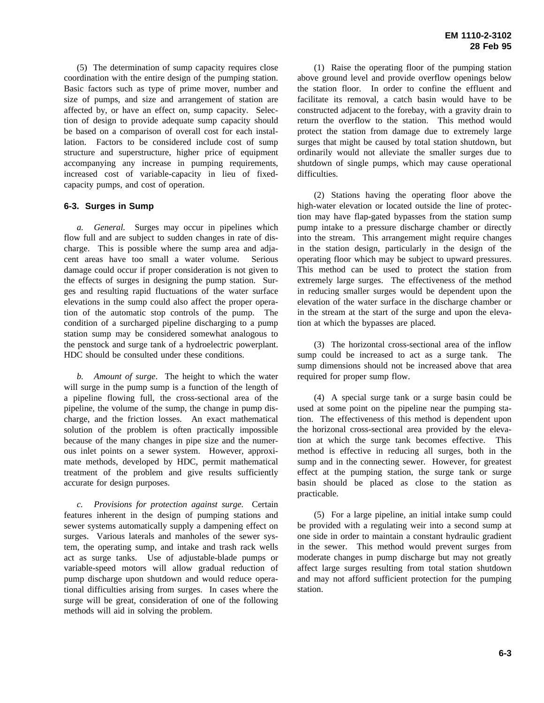(5) The determination of sump capacity requires close coordination with the entire design of the pumping station. Basic factors such as type of prime mover, number and size of pumps, and size and arrangement of station are affected by, or have an effect on, sump capacity. Selection of design to provide adequate sump capacity should be based on a comparison of overall cost for each installation. Factors to be considered include cost of sump structure and superstructure, higher price of equipment accompanying any increase in pumping requirements, increased cost of variable-capacity in lieu of fixedcapacity pumps, and cost of operation.

#### **6-3. Surges in Sump**

*a. General.* Surges may occur in pipelines which flow full and are subject to sudden changes in rate of discharge. This is possible where the sump area and adjacent areas have too small a water volume. Serious damage could occur if proper consideration is not given to the effects of surges in designing the pump station. Surges and resulting rapid fluctuations of the water surface elevations in the sump could also affect the proper operation of the automatic stop controls of the pump. The condition of a surcharged pipeline discharging to a pump station sump may be considered somewhat analogous to the penstock and surge tank of a hydroelectric powerplant. HDC should be consulted under these conditions.

*b. Amount of surge*. The height to which the water will surge in the pump sump is a function of the length of a pipeline flowing full, the cross-sectional area of the pipeline, the volume of the sump, the change in pump discharge, and the friction losses. An exact mathematical solution of the problem is often practically impossible because of the many changes in pipe size and the numerous inlet points on a sewer system. However, approximate methods, developed by HDC, permit mathematical treatment of the problem and give results sufficiently accurate for design purposes.

*c. Provisions for protection against surge.* Certain features inherent in the design of pumping stations and sewer systems automatically supply a dampening effect on surges. Various laterals and manholes of the sewer system, the operating sump, and intake and trash rack wells act as surge tanks. Use of adjustable-blade pumps or variable-speed motors will allow gradual reduction of pump discharge upon shutdown and would reduce operational difficulties arising from surges. In cases where the surge will be great, consideration of one of the following methods will aid in solving the problem.

(1) Raise the operating floor of the pumping station above ground level and provide overflow openings below the station floor. In order to confine the effluent and facilitate its removal, a catch basin would have to be constructed adjacent to the forebay, with a gravity drain to return the overflow to the station. This method would protect the station from damage due to extremely large surges that might be caused by total station shutdown, but ordinarily would not alleviate the smaller surges due to shutdown of single pumps, which may cause operational difficulties.

(2) Stations having the operating floor above the high-water elevation or located outside the line of protection may have flap-gated bypasses from the station sump pump intake to a pressure discharge chamber or directly into the stream. This arrangement might require changes in the station design, particularly in the design of the operating floor which may be subject to upward pressures. This method can be used to protect the station from extremely large surges. The effectiveness of the method in reducing smaller surges would be dependent upon the elevation of the water surface in the discharge chamber or in the stream at the start of the surge and upon the elevation at which the bypasses are placed.

(3) The horizontal cross-sectional area of the inflow sump could be increased to act as a surge tank. The sump dimensions should not be increased above that area required for proper sump flow.

(4) A special surge tank or a surge basin could be used at some point on the pipeline near the pumping station. The effectiveness of this method is dependent upon the horizonal cross-sectional area provided by the elevation at which the surge tank becomes effective. This method is effective in reducing all surges, both in the sump and in the connecting sewer. However, for greatest effect at the pumping station, the surge tank or surge basin should be placed as close to the station as practicable.

(5) For a large pipeline, an initial intake sump could be provided with a regulating weir into a second sump at one side in order to maintain a constant hydraulic gradient in the sewer. This method would prevent surges from moderate changes in pump discharge but may not greatly affect large surges resulting from total station shutdown and may not afford sufficient protection for the pumping station.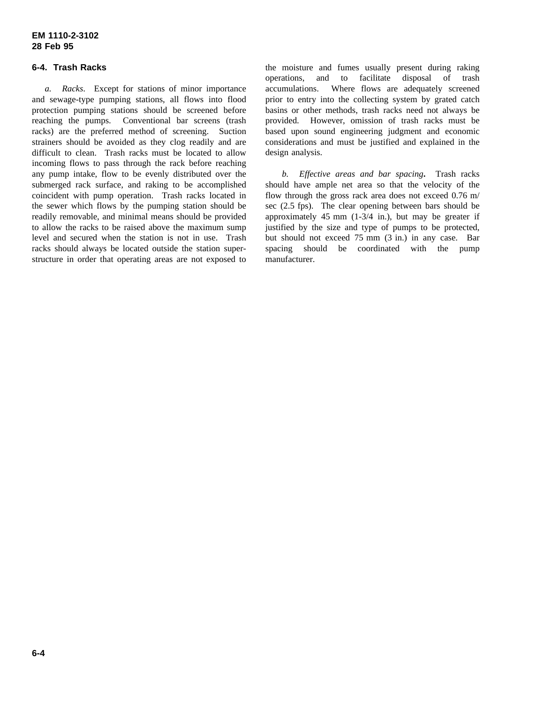### **6-4. Trash Racks**

*a. Racks*. Except for stations of minor importance and sewage-type pumping stations, all flows into flood protection pumping stations should be screened before reaching the pumps. Conventional bar screens (trash racks) are the preferred method of screening. Suction strainers should be avoided as they clog readily and are difficult to clean. Trash racks must be located to allow incoming flows to pass through the rack before reaching any pump intake, flow to be evenly distributed over the submerged rack surface, and raking to be accomplished coincident with pump operation. Trash racks located in the sewer which flows by the pumping station should be readily removable, and minimal means should be provided to allow the racks to be raised above the maximum sump level and secured when the station is not in use. Trash racks should always be located outside the station superstructure in order that operating areas are not exposed to

the moisture and fumes usually present during raking operations, and to facilitate disposal of trash accumulations. Where flows are adequately screened prior to entry into the collecting system by grated catch basins or other methods, trash racks need not always be provided. However, omission of trash racks must be based upon sound engineering judgment and economic considerations and must be justified and explained in the design analysis.

*b. Effective areas and bar spacing***.** Trash racks should have ample net area so that the velocity of the flow through the gross rack area does not exceed 0.76 m/ sec (2.5 fps). The clear opening between bars should be approximately 45 mm  $(1-3/4$  in.), but may be greater if justified by the size and type of pumps to be protected, but should not exceed 75 mm (3 in.) in any case. Bar spacing should be coordinated with the pump manufacturer.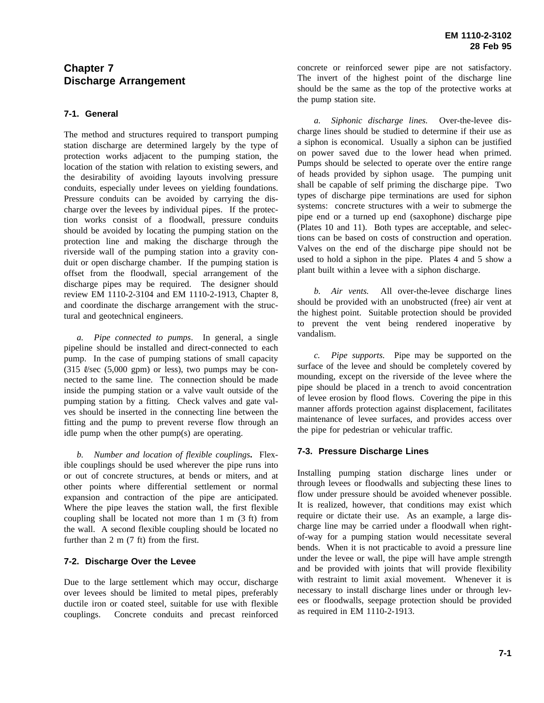# **Chapter 7 Discharge Arrangement**

## **7-1. General**

The method and structures required to transport pumping station discharge are determined largely by the type of protection works adjacent to the pumping station, the location of the station with relation to existing sewers, and the desirability of avoiding layouts involving pressure conduits, especially under levees on yielding foundations. Pressure conduits can be avoided by carrying the discharge over the levees by individual pipes. If the protection works consist of a floodwall, pressure conduits should be avoided by locating the pumping station on the protection line and making the discharge through the riverside wall of the pumping station into a gravity conduit or open discharge chamber. If the pumping station is offset from the floodwall, special arrangement of the discharge pipes may be required. The designer should review EM 1110-2-3104 and EM 1110-2-1913, Chapter 8, and coordinate the discharge arrangement with the structural and geotechnical engineers.

*a. Pipe connected to pumps*. In general, a single pipeline should be installed and direct-connected to each pump. In the case of pumping stations of small capacity  $(315 \text{ Vsec } (5,000 \text{ gpm})$  or less), two pumps may be connected to the same line. The connection should be made inside the pumping station or a valve vault outside of the pumping station by a fitting. Check valves and gate valves should be inserted in the connecting line between the fitting and the pump to prevent reverse flow through an idle pump when the other pump(s) are operating.

*b. Number and location of flexible couplings***.** Flexible couplings should be used wherever the pipe runs into or out of concrete structures, at bends or miters, and at other points where differential settlement or normal expansion and contraction of the pipe are anticipated. Where the pipe leaves the station wall, the first flexible coupling shall be located not more than 1 m (3 ft) from the wall. A second flexible coupling should be located no further than 2 m (7 ft) from the first.

### **7-2. Discharge Over the Levee**

Due to the large settlement which may occur, discharge over levees should be limited to metal pipes, preferably ductile iron or coated steel, suitable for use with flexible couplings. Concrete conduits and precast reinforced concrete or reinforced sewer pipe are not satisfactory. The invert of the highest point of the discharge line should be the same as the top of the protective works at the pump station site.

*a. Siphonic discharge lines.* Over-the-levee discharge lines should be studied to determine if their use as a siphon is economical. Usually a siphon can be justified on power saved due to the lower head when primed. Pumps should be selected to operate over the entire range of heads provided by siphon usage. The pumping unit shall be capable of self priming the discharge pipe. Two types of discharge pipe terminations are used for siphon systems: concrete structures with a weir to submerge the pipe end or a turned up end (saxophone) discharge pipe (Plates 10 and 11). Both types are acceptable, and selections can be based on costs of construction and operation. Valves on the end of the discharge pipe should not be used to hold a siphon in the pipe. Plates 4 and 5 show a plant built within a levee with a siphon discharge.

*b. Air vents.* All over-the-levee discharge lines should be provided with an unobstructed (free) air vent at the highest point. Suitable protection should be provided to prevent the vent being rendered inoperative by vandalism.

*c. Pipe supports.* Pipe may be supported on the surface of the levee and should be completely covered by mounding, except on the riverside of the levee where the pipe should be placed in a trench to avoid concentration of levee erosion by flood flows. Covering the pipe in this manner affords protection against displacement, facilitates maintenance of levee surfaces, and provides access over the pipe for pedestrian or vehicular traffic.

# **7-3. Pressure Discharge Lines**

Installing pumping station discharge lines under or through levees or floodwalls and subjecting these lines to flow under pressure should be avoided whenever possible. It is realized, however, that conditions may exist which require or dictate their use. As an example, a large discharge line may be carried under a floodwall when rightof-way for a pumping station would necessitate several bends. When it is not practicable to avoid a pressure line under the levee or wall, the pipe will have ample strength and be provided with joints that will provide flexibility with restraint to limit axial movement. Whenever it is necessary to install discharge lines under or through levees or floodwalls, seepage protection should be provided as required in EM 1110-2-1913.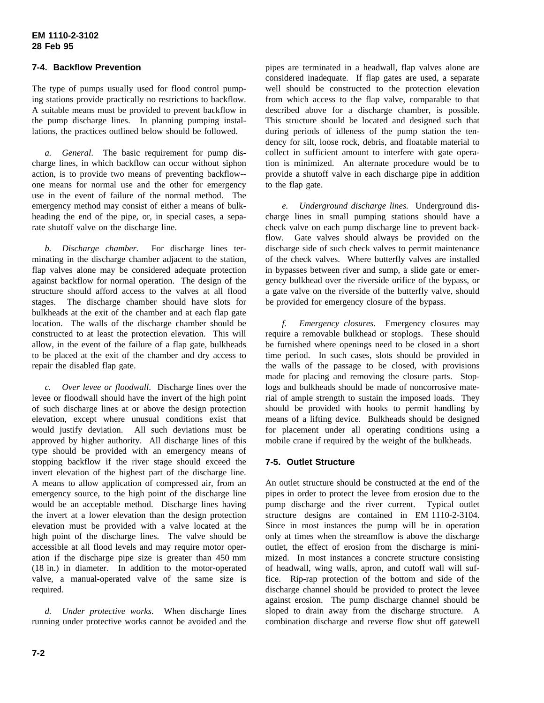## **7-4. Backflow Prevention**

The type of pumps usually used for flood control pumping stations provide practically no restrictions to backflow. A suitable means must be provided to prevent backflow in the pump discharge lines. In planning pumping installations, the practices outlined below should be followed.

*a. General*. The basic requirement for pump discharge lines, in which backflow can occur without siphon action, is to provide two means of preventing backflow- one means for normal use and the other for emergency use in the event of failure of the normal method. The emergency method may consist of either a means of bulkheading the end of the pipe, or, in special cases, a separate shutoff valve on the discharge line.

*b. Discharge chamber.* For discharge lines terminating in the discharge chamber adjacent to the station, flap valves alone may be considered adequate protection against backflow for normal operation. The design of the structure should afford access to the valves at all flood stages. The discharge chamber should have slots for bulkheads at the exit of the chamber and at each flap gate location. The walls of the discharge chamber should be constructed to at least the protection elevation. This will allow, in the event of the failure of a flap gate, bulkheads to be placed at the exit of the chamber and dry access to repair the disabled flap gate.

*c. Over levee or floodwall*. Discharge lines over the levee or floodwall should have the invert of the high point of such discharge lines at or above the design protection elevation, except where unusual conditions exist that would justify deviation. All such deviations must be approved by higher authority. All discharge lines of this type should be provided with an emergency means of stopping backflow if the river stage should exceed the invert elevation of the highest part of the discharge line. A means to allow application of compressed air, from an emergency source, to the high point of the discharge line would be an acceptable method. Discharge lines having the invert at a lower elevation than the design protection elevation must be provided with a valve located at the high point of the discharge lines. The valve should be accessible at all flood levels and may require motor operation if the discharge pipe size is greater than 450 mm (18 in.) in diameter. In addition to the motor-operated valve, a manual-operated valve of the same size is required.

*d. Under protective works*. When discharge lines running under protective works cannot be avoided and the

pipes are terminated in a headwall, flap valves alone are considered inadequate. If flap gates are used, a separate well should be constructed to the protection elevation from which access to the flap valve, comparable to that described above for a discharge chamber, is possible. This structure should be located and designed such that during periods of idleness of the pump station the tendency for silt, loose rock, debris, and floatable material to collect in sufficient amount to interfere with gate operation is minimized. An alternate procedure would be to provide a shutoff valve in each discharge pipe in addition to the flap gate.

*e. Underground discharge lines.* Underground discharge lines in small pumping stations should have a check valve on each pump discharge line to prevent backflow. Gate valves should always be provided on the discharge side of such check valves to permit maintenance of the check valves. Where butterfly valves are installed in bypasses between river and sump, a slide gate or emergency bulkhead over the riverside orifice of the bypass, or a gate valve on the riverside of the butterfly valve, should be provided for emergency closure of the bypass.

*f. Emergency closures.* Emergency closures may require a removable bulkhead or stoplogs. These should be furnished where openings need to be closed in a short time period. In such cases, slots should be provided in the walls of the passage to be closed, with provisions made for placing and removing the closure parts. Stoplogs and bulkheads should be made of noncorrosive material of ample strength to sustain the imposed loads. They should be provided with hooks to permit handling by means of a lifting device. Bulkheads should be designed for placement under all operating conditions using a mobile crane if required by the weight of the bulkheads.

### **7-5. Outlet Structure**

An outlet structure should be constructed at the end of the pipes in order to protect the levee from erosion due to the pump discharge and the river current. Typical outlet structure designs are contained in EM 1110-2-3104. Since in most instances the pump will be in operation only at times when the streamflow is above the discharge outlet, the effect of erosion from the discharge is minimized. In most instances a concrete structure consisting of headwall, wing walls, apron, and cutoff wall will suffice. Rip-rap protection of the bottom and side of the discharge channel should be provided to protect the levee against erosion. The pump discharge channel should be sloped to drain away from the discharge structure. A combination discharge and reverse flow shut off gatewell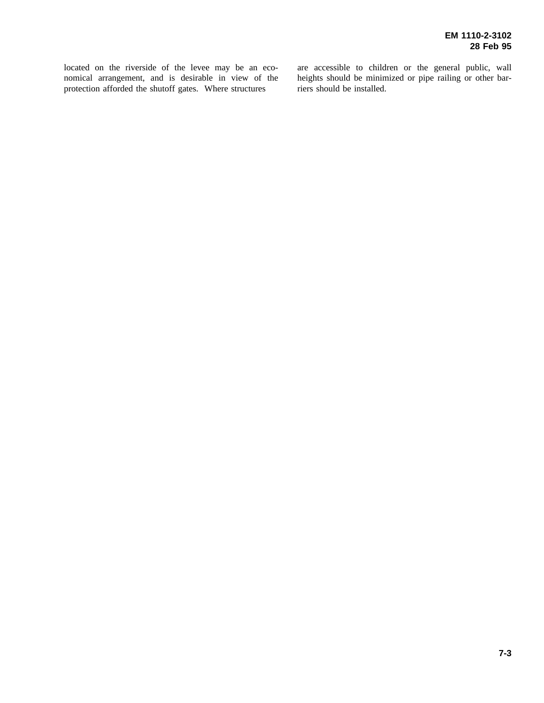located on the riverside of the levee may be an economical arrangement, and is desirable in view of the protection afforded the shutoff gates. Where structures

are accessible to children or the general public, wall heights should be minimized or pipe railing or other barriers should be installed.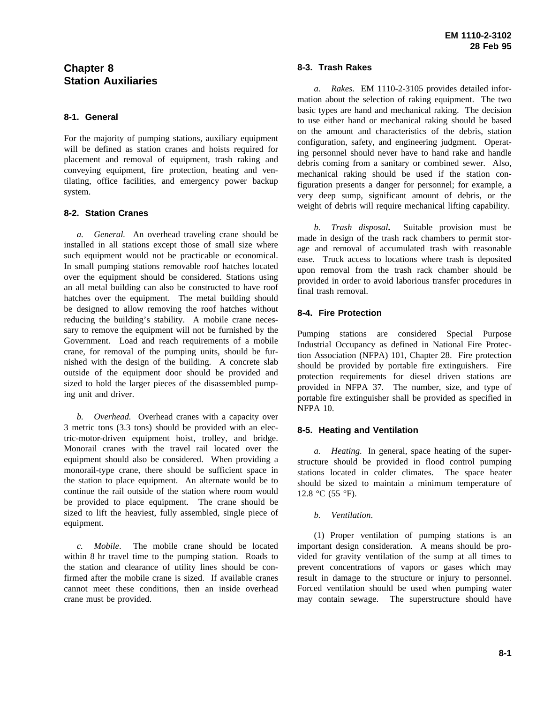# **Chapter 8 Station Auxiliaries**

# **8-1. General**

For the majority of pumping stations, auxiliary equipment will be defined as station cranes and hoists required for placement and removal of equipment, trash raking and conveying equipment, fire protection, heating and ventilating, office facilities, and emergency power backup system.

## **8-2. Station Cranes**

*a. General.* An overhead traveling crane should be installed in all stations except those of small size where such equipment would not be practicable or economical. In small pumping stations removable roof hatches located over the equipment should be considered. Stations using an all metal building can also be constructed to have roof hatches over the equipment. The metal building should be designed to allow removing the roof hatches without reducing the building's stability. A mobile crane necessary to remove the equipment will not be furnished by the Government. Load and reach requirements of a mobile crane, for removal of the pumping units, should be furnished with the design of the building. A concrete slab outside of the equipment door should be provided and sized to hold the larger pieces of the disassembled pumping unit and driver.

*b. Overhead.* Overhead cranes with a capacity over 3 metric tons (3.3 tons) should be provided with an electric-motor-driven equipment hoist, trolley, and bridge. Monorail cranes with the travel rail located over the equipment should also be considered. When providing a monorail-type crane, there should be sufficient space in the station to place equipment. An alternate would be to continue the rail outside of the station where room would be provided to place equipment. The crane should be sized to lift the heaviest, fully assembled, single piece of equipment.

*c. Mobile*. The mobile crane should be located within 8 hr travel time to the pumping station. Roads to the station and clearance of utility lines should be confirmed after the mobile crane is sized. If available cranes cannot meet these conditions, then an inside overhead crane must be provided.

## **8-3. Trash Rakes**

*a. Rakes.* EM 1110-2-3105 provides detailed information about the selection of raking equipment. The two basic types are hand and mechanical raking. The decision to use either hand or mechanical raking should be based on the amount and characteristics of the debris, station configuration, safety, and engineering judgment. Operating personnel should never have to hand rake and handle debris coming from a sanitary or combined sewer. Also, mechanical raking should be used if the station configuration presents a danger for personnel; for example, a very deep sump, significant amount of debris, or the weight of debris will require mechanical lifting capability.

*b. Trash disposal***.** Suitable provision must be made in design of the trash rack chambers to permit storage and removal of accumulated trash with reasonable ease. Truck access to locations where trash is deposited upon removal from the trash rack chamber should be provided in order to avoid laborious transfer procedures in final trash removal.

# **8-4. Fire Protection**

Pumping stations are considered Special Purpose Industrial Occupancy as defined in National Fire Protection Association (NFPA) 101, Chapter 28. Fire protection should be provided by portable fire extinguishers. Fire protection requirements for diesel driven stations are provided in NFPA 37. The number, size, and type of portable fire extinguisher shall be provided as specified in NFPA 10.

# **8-5. Heating and Ventilation**

*a. Heating.* In general, space heating of the superstructure should be provided in flood control pumping stations located in colder climates. The space heater should be sized to maintain a minimum temperature of 12.8 °C (55 °F).

# *b. Ventilation*.

(1) Proper ventilation of pumping stations is an important design consideration. A means should be provided for gravity ventilation of the sump at all times to prevent concentrations of vapors or gases which may result in damage to the structure or injury to personnel. Forced ventilation should be used when pumping water may contain sewage. The superstructure should have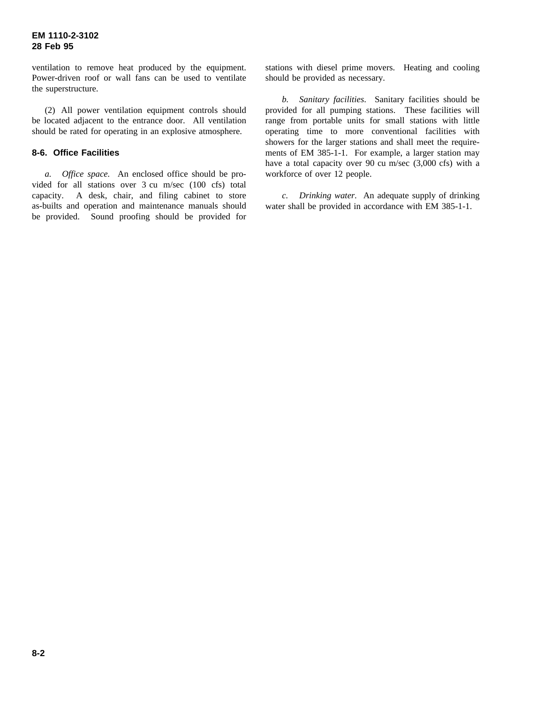ventilation to remove heat produced by the equipment. Power-driven roof or wall fans can be used to ventilate the superstructure.

(2) All power ventilation equipment controls should be located adjacent to the entrance door. All ventilation should be rated for operating in an explosive atmosphere.

## **8-6. Office Facilities**

*a. Office space.* An enclosed office should be provided for all stations over 3 cu m/sec (100 cfs) total capacity. A desk, chair, and filing cabinet to store as-builts and operation and maintenance manuals should be provided. Sound proofing should be provided for

stations with diesel prime movers. Heating and cooling should be provided as necessary.

*b. Sanitary facilities*. Sanitary facilities should be provided for all pumping stations. These facilities will range from portable units for small stations with little operating time to more conventional facilities with showers for the larger stations and shall meet the requirements of EM 385-1-1. For example, a larger station may have a total capacity over 90 cu m/sec (3,000 cfs) with a workforce of over 12 people.

*c. Drinking water.* An adequate supply of drinking water shall be provided in accordance with EM 385-1-1.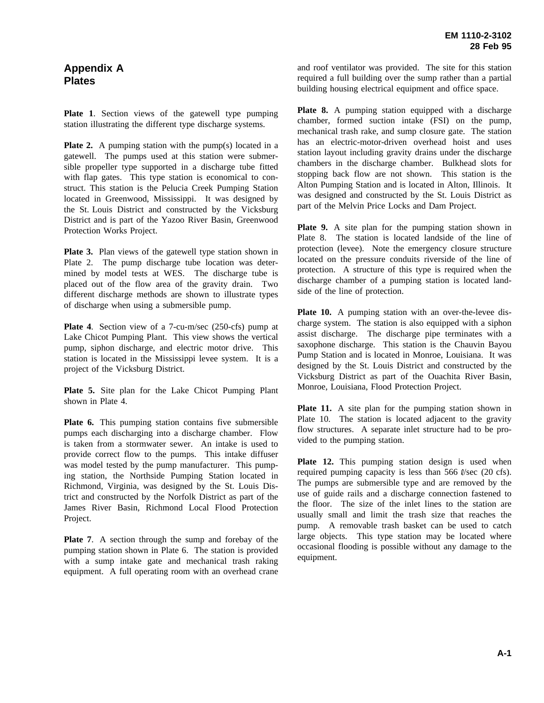# **Appendix A Plates**

**Plate 1**. Section views of the gatewell type pumping station illustrating the different type discharge systems.

**Plate 2.** A pumping station with the pump(s) located in a gatewell. The pumps used at this station were submersible propeller type supported in a discharge tube fitted with flap gates. This type station is economical to construct. This station is the Pelucia Creek Pumping Station located in Greenwood, Mississippi. It was designed by the St. Louis District and constructed by the Vicksburg District and is part of the Yazoo River Basin, Greenwood Protection Works Project.

**Plate 3.** Plan views of the gatewell type station shown in Plate 2. The pump discharge tube location was determined by model tests at WES. The discharge tube is placed out of the flow area of the gravity drain. Two different discharge methods are shown to illustrate types of discharge when using a submersible pump.

**Plate 4**. Section view of a 7-cu-m/sec (250-cfs) pump at Lake Chicot Pumping Plant. This view shows the vertical pump, siphon discharge, and electric motor drive. This station is located in the Mississippi levee system. It is a project of the Vicksburg District.

**Plate 5.** Site plan for the Lake Chicot Pumping Plant shown in Plate 4.

**Plate 6.** This pumping station contains five submersible pumps each discharging into a discharge chamber. Flow is taken from a stormwater sewer. An intake is used to provide correct flow to the pumps. This intake diffuser was model tested by the pump manufacturer. This pumping station, the Northside Pumping Station located in Richmond, Virginia, was designed by the St. Louis District and constructed by the Norfolk District as part of the James River Basin, Richmond Local Flood Protection Project.

**Plate 7**. A section through the sump and forebay of the pumping station shown in Plate 6. The station is provided with a sump intake gate and mechanical trash raking equipment. A full operating room with an overhead crane and roof ventilator was provided. The site for this station required a full building over the sump rather than a partial building housing electrical equipment and office space.

**Plate 8.** A pumping station equipped with a discharge chamber, formed suction intake (FSI) on the pump, mechanical trash rake, and sump closure gate. The station has an electric-motor-driven overhead hoist and uses station layout including gravity drains under the discharge chambers in the discharge chamber. Bulkhead slots for stopping back flow are not shown. This station is the Alton Pumping Station and is located in Alton, Illinois. It was designed and constructed by the St. Louis District as part of the Melvin Price Locks and Dam Project.

**Plate 9.** A site plan for the pumping station shown in Plate 8. The station is located landside of the line of protection (levee). Note the emergency closure structure located on the pressure conduits riverside of the line of protection. A structure of this type is required when the discharge chamber of a pumping station is located landside of the line of protection.

Plate 10. A pumping station with an over-the-levee discharge system. The station is also equipped with a siphon assist discharge. The discharge pipe terminates with a saxophone discharge. This station is the Chauvin Bayou Pump Station and is located in Monroe, Louisiana. It was designed by the St. Louis District and constructed by the Vicksburg District as part of the Ouachita River Basin, Monroe, Louisiana, Flood Protection Project.

**Plate 11.** A site plan for the pumping station shown in Plate 10. The station is located adjacent to the gravity flow structures. A separate inlet structure had to be provided to the pumping station.

**Plate 12.** This pumping station design is used when required pumping capacity is less than 566  $\ell$ /sec (20 cfs). The pumps are submersible type and are removed by the use of guide rails and a discharge connection fastened to the floor. The size of the inlet lines to the station are usually small and limit the trash size that reaches the pump. A removable trash basket can be used to catch large objects. This type station may be located where occasional flooding is possible without any damage to the equipment.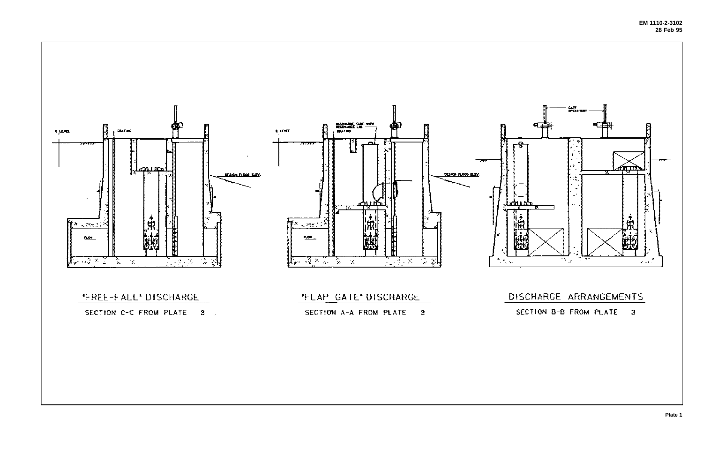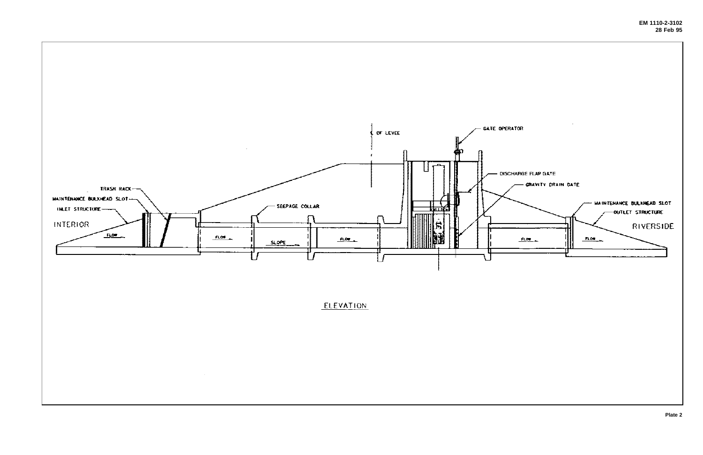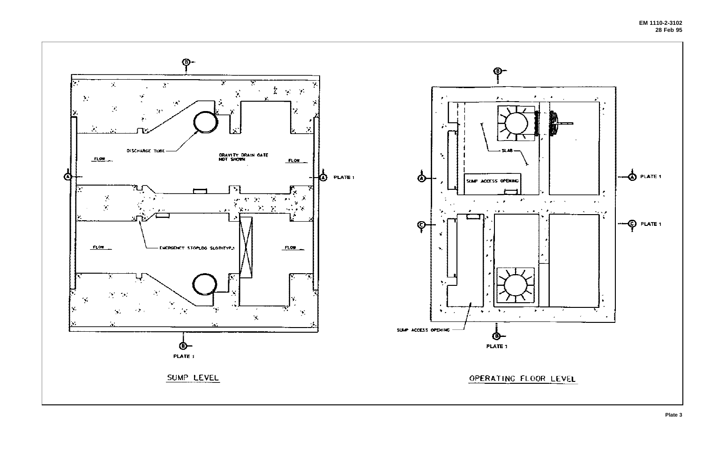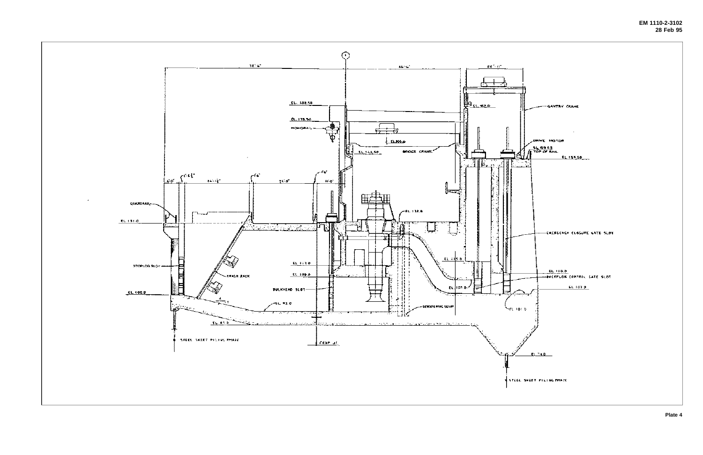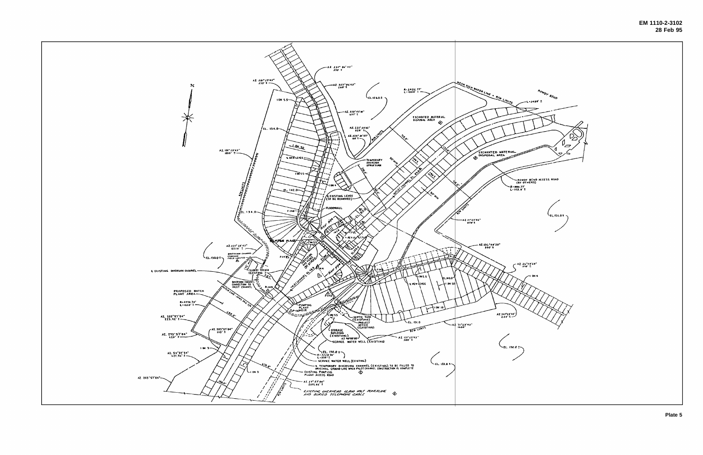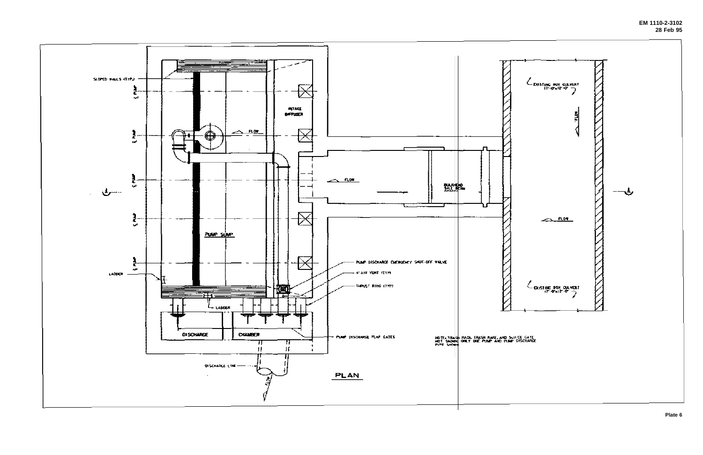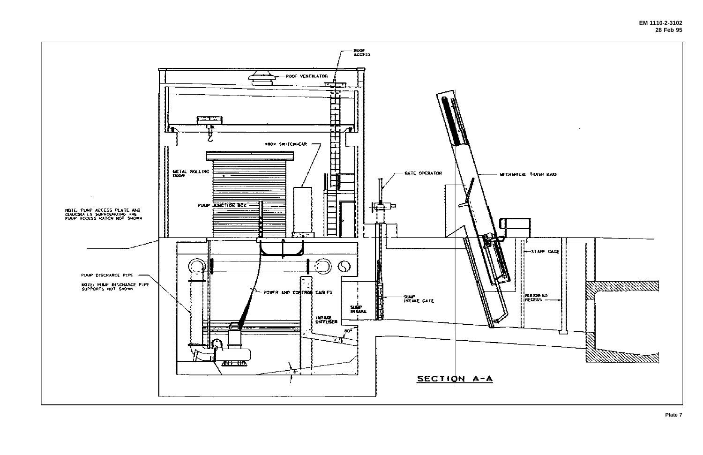![](_page_28_Figure_0.jpeg)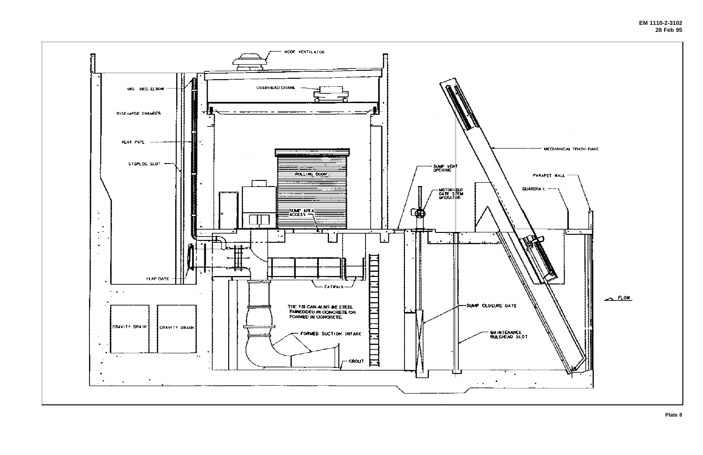![](_page_29_Figure_0.jpeg)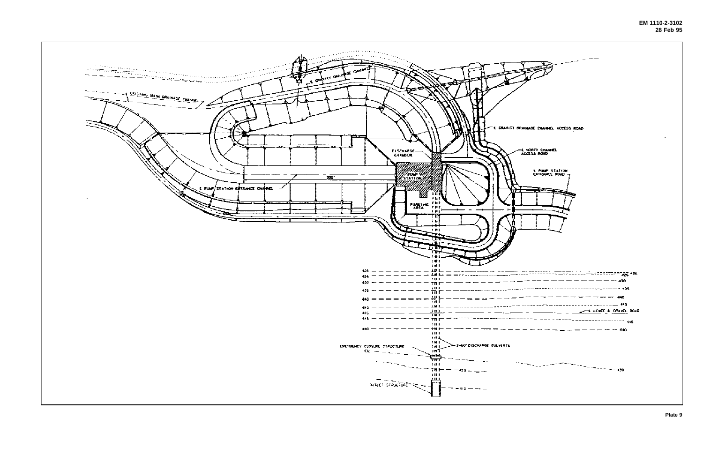![](_page_30_Figure_0.jpeg)

| ---------------                                               |
|---------------------------------------------------------------|
|                                                               |
|                                                               |
|                                                               |
| - - ---------- - <del>- ELLYEE &amp; <u>ORAWEL</u></del> ROAD |
|                                                               |
| -------------- <b>**</b>                                      |
|                                                               |
|                                                               |
|                                                               |
|                                                               |
|                                                               |
|                                                               |
|                                                               |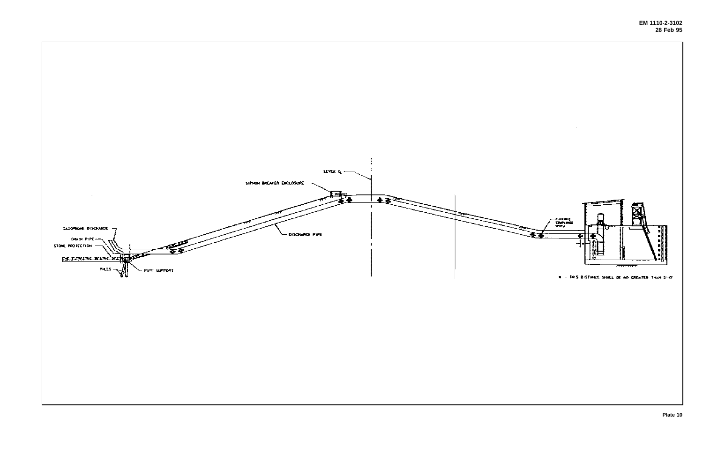![](_page_31_Figure_0.jpeg)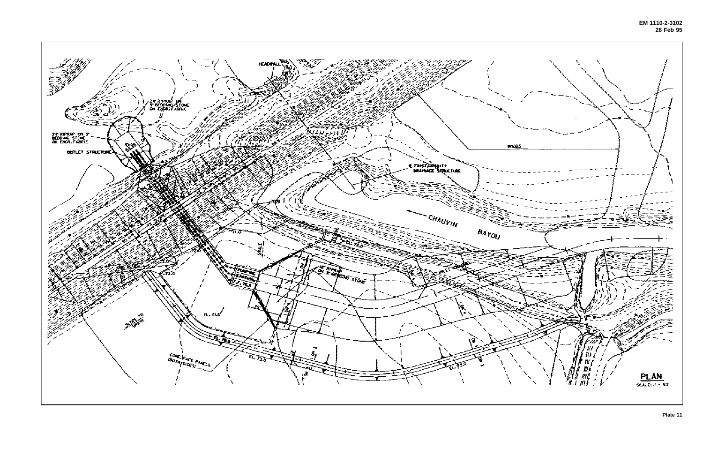![](_page_32_Figure_0.jpeg)